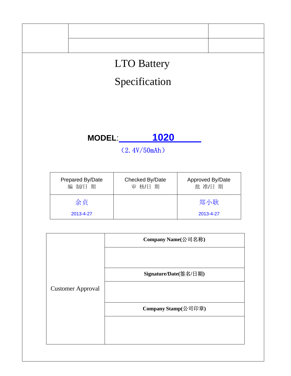

**Company Stamp(**公司印章**)**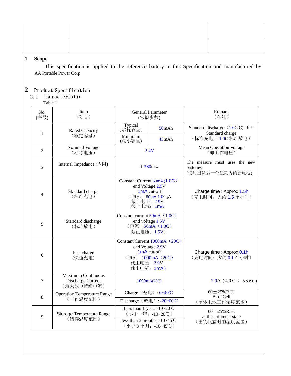# **1 Scope**

This specification is applied to the reference battery in this Specification and manufactured by AA Portable Power Corp

## **2** Product Specification

#### 2.1 Characteristic

Table 1

| No.<br>(序号)    | Item<br>(项目)                                                 | <b>General Parameter</b><br>(常规参数)                                                                                          |                                                            | Remark<br>(备注)                                                           |  |
|----------------|--------------------------------------------------------------|-----------------------------------------------------------------------------------------------------------------------------|------------------------------------------------------------|--------------------------------------------------------------------------|--|
|                | <b>Rated Capacity</b>                                        | Typical<br>$50m$ Ah<br>(标称容量)<br>Minimum<br>45mAh<br>(最小容量)                                                                 |                                                            | Standard discharge (1.0CC) after<br>Standard charge<br>(标准充电后 1.0C 标准放电) |  |
| 1              | (额定容量)                                                       |                                                                                                                             |                                                            |                                                                          |  |
| $\overline{2}$ | Nominal Voltage<br>(标称电压)                                    | 2.4V                                                                                                                        |                                                            | <b>Mean Operation Voltage</b><br>(即工作电压)                                 |  |
| 3              | Internal Impedance (内阻)                                      | $≤380m$ Ω                                                                                                                   |                                                            | The measure must uses the new<br>batteries<br>(使用出货后一个星期内的新电池)           |  |
| 4              | Standard charge<br>(标准充电)                                    | Constant Current 50mA (1.0C)<br>end Voltage 2.9V<br>1mA cut-off<br>(恒流: 50mA 1.0C <sub>5</sub> A<br>截止电压: 2.9V<br>截止电流: 1mA |                                                            | Charge time : Approx 1.5h<br>(充电时间:大约1.5个小时)                             |  |
| 5              | Standard discharge<br>(标准放电)                                 | Constant current $50mA$ (1.0C)<br>end voltage 1.5V<br>(恒流: 50mA (1.0C)<br>截止电压: 1.5V)                                       |                                                            |                                                                          |  |
| 6              | Fast charge<br>(快速充电)                                        | Constant Current $1000mA$ (20C)<br>end Voltage 2.9V<br>$1mA$ cut-off<br>(恒流: 1000mA (20C)<br>截止电压: 2.9V<br>截止电流: 1mA)       |                                                            | Charge time: Approx 0.1h<br>(充电时间: 大约 0.1 个小时)                           |  |
| 7              | <b>Maximum Continuous</b><br>Discharge Current<br>(最大放电持续电流) | 1000mA(20C)                                                                                                                 |                                                            | $2.0A$ (40C < 5 s e c)                                                   |  |
| 8              | <b>Operation Temperature Range</b><br>(工作温度范围)               | Charge (充电): 0~40℃                                                                                                          |                                                            | $60 \pm 25\%$ R.H.<br>Bare Cell                                          |  |
|                |                                                              |                                                                                                                             | Discharge (放电): -20~60℃                                    | (单体电池工作湿度范围)                                                             |  |
| 9              | Storage Temperature Range<br>(储存温度范围)                        | Less than 1 year: $-10-20$ °C<br>(小于一年: -10~20℃)                                                                            |                                                            | $60 \pm 25\%$ R.H.<br>at the shipment state                              |  |
|                |                                                              |                                                                                                                             | less than 3 months: $-10-45^{\circ}$ C<br>(小于3个月: -10~45℃) | (出货状态时的湿度范围)                                                             |  |
|                |                                                              |                                                                                                                             |                                                            |                                                                          |  |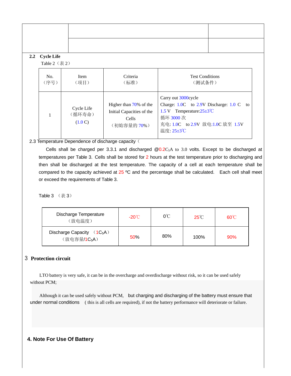| 2.2 | <b>Cycle Life</b>                 |                                 |                                                                             |                                                                                                                                                        |    |  |
|-----|-----------------------------------|---------------------------------|-----------------------------------------------------------------------------|--------------------------------------------------------------------------------------------------------------------------------------------------------|----|--|
|     | Table $2$ (表 $2$ )<br>No.<br>(序号) | Item<br>(项目)                    | Criteria<br>(标准)                                                            | <b>Test Conditions</b><br>(测试条件)                                                                                                                       |    |  |
|     | $\mathbf{1}$                      | Cycle Life<br>(循环寿命)<br>(1.0 C) | Higher than 70% of the<br>Initial Capacities of the<br>Cells<br>(初始容量的 70%) | Carry out 3000cycle<br>Charge: 1.0C to 2.9V Discharge: 1.0 C<br>1.5 V Temperature: $25\pm3^{\circ}$ C<br>循环 3000次<br>充电: 1.0C to 2.9V 放电: 1.0C 放至 1.5V | to |  |

### 2.3 Temperature Dependence of discharge capacity (

Cells shall be charged per 3.3.1 and discharged  $@0.2C_5A$  to 3.0 volts. Except to be discharged at temperatures per Table 3. Cells shall be stored for 2 hours at the test temperature prior to discharging and then shall be discharged at the test temperature. The capacity of a cell at each temperature shall be compared to the capacity achieved at 25 °C and the percentage shall be calculated. Each cell shall meet or exceed the requirements of Table 3.

温度: 25±3℃

Table  $3$  (表  $3$ )

| Discharge Temperature<br>(放电温度)                          | $-20^{\circ}$ | $0^{\circ}$ C | $25^{\circ}$ C | $60^{\circ}$ C |
|----------------------------------------------------------|---------------|---------------|----------------|----------------|
| Discharge Capacity $(1C_5A)$<br>(放电容量/1C <sub>5</sub> A) | 50%           | 80%           | 100%           | 90%            |

### 3 **Protection circuit**

LTO battery is very safe, it can be in the overcharge and overdischarge without risk, so it can be used safely without PCM;

Although it can be used safely without PCM, but charging and discharging of the battery must ensure that under normal conditions ( this is all cells are required), if not the battery performance will deteriorate or failure.

#### **4. Note For Use Of Battery**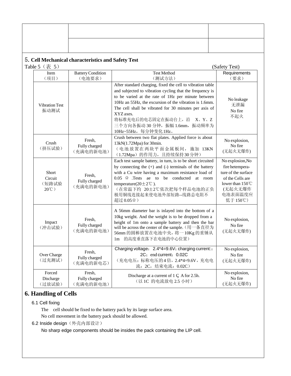## 5.**Cell Mechanical characteristics and Safety Test**

| Table 5 $(\bar{\bar{\mathcal{R}}}$ 5)<br>(Safety Test) |                                      |                                                                                                                                                                                                                                                                                                                                                                                                          |                                                                                                                                      |
|--------------------------------------------------------|--------------------------------------|----------------------------------------------------------------------------------------------------------------------------------------------------------------------------------------------------------------------------------------------------------------------------------------------------------------------------------------------------------------------------------------------------------|--------------------------------------------------------------------------------------------------------------------------------------|
| Item<br>(项目)                                           | <b>Battery Condition</b><br>(电池要求)   | <b>Test Method</b><br>(测试方法)                                                                                                                                                                                                                                                                                                                                                                             | Requirements<br>(要求)                                                                                                                 |
| <b>Vibration Test</b><br>振动测试                          |                                      | After standard charging, fixed the cell to vibration table<br>and subjected to vibration cycling that the frequency is<br>to be varied at the rate of 1Hz per minute between<br>10Hz an 55Hz, the excursion of the vibration is 1.6mm.<br>The cell shall be vibrated for 30 minutes per axis of<br>XYZ axes.<br>将标准充电后的电芯固定在振动台上, 沿<br>X, Y, Z<br>三个方向各振动 30 分钟, 振幅 1.6mm, 振动频率为<br>10Hz~55Hz, 每分钟变化1Hz。 | No leakage<br>无泄漏<br>No fire<br>不起火                                                                                                  |
| Crush<br>(挤压试验)                                        | Fresh,<br>Fully charged<br>(充满电的新电池) | Crush between two flat plates. Applied force is about<br>13kN(1.72Mpa) for 30min.<br>(电池放置在两块平面金属板间, 施加 13KN<br>(1.72Mpa) 的作用力, 且持续保持30分钟)                                                                                                                                                                                                                                                               | No explosion,<br>No fire<br>(无起火无爆炸)                                                                                                 |
| Short<br>Circuit<br>(短路试验<br>$20^{\circ}$ C)           | Fresh,<br>Fully charged<br>(充满电的新电池) | Each test sample battery, in turn, is to be short circuited<br>by connecting the $(+)$ and $(-)$ terminals of the battery<br>with a Cu wire having a maximum resistance load of<br>$0.05 \Omega$ Tests ae to be conducted<br>at room<br>temperature( $20 \pm 2^{\circ}$ C).<br>(在常温下约 20±2℃依次把每个样品电池的正负<br>极用铜线连接起来使电池外部短路--线路总电阻不<br>超过 0.05Ω)                                                          | No explosion, No<br>fire hetempera-<br>ture of the surface<br>of the Cells are<br>lower than 150 ℃<br>(无起火无爆炸<br>电池表面温度应<br>低于 150℃) |
| Impact<br>(冲击试验)                                       | Fresh,<br>Fully charged<br>(充满电的新电池) | A 56mm diameter bar is inlayed into the bottom of a<br>10kg weight. And the weight is to be dropped from a<br>height of 1m onto a sample battery and then the bar<br>will be across the center of the sample. (用一条直径为<br>56mm 的圆棒放置在电池中央, 将一10Kg 的重锤从<br>1m 的高度垂直落下在电池的中心位置)                                                                                                                             | No explosion,<br>No fire<br>(无起火无爆炸)                                                                                                 |
| Over Charge<br>(过充测试)                                  | Fresh,<br>Fully charged<br>(充满电的新电芯) | Charging voltage: 2.4*4=9.6V; charging current::<br>2C: end current: 0.02C<br>(充电电压: 标称电压的4倍, 2.4*4=9.6V, 充电电<br>流: 2C, 结束电流: 0.02C)                                                                                                                                                                                                                                                                     | No explosion,<br>No fire<br>(无起火无爆炸)                                                                                                 |
| Forced<br>Discharge<br>(过放试验)                          | Fresh,<br>Fully charged<br>(充满电的新电池) | Discharge at a current of $1 \text{ }\mathsf{C}$ A for 2.5h.<br>(以 1C 的电流放电 2.5 小时)                                                                                                                                                                                                                                                                                                                      | No explosion,<br>No fire<br>(无起火无爆炸)                                                                                                 |

# **6. Handling of Cells**

### 6.1 Cell fixing

The cell should be fixed to the battery pack by its large surface area. No cell movement in the battery pack should be allowed.

6.2 Inside design (外壳内部设计)

No sharp edge components should be insides the pack containing the LIP cell.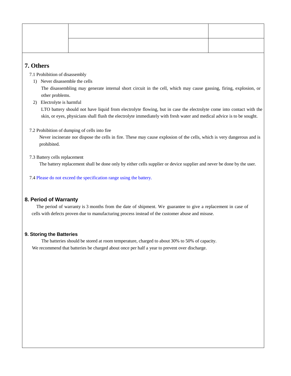# **7. Others**

7.1 Prohibition of disassembly

1) Never disassemble the cells

The disassembling may generate internal short circuit in the cell, which may cause gassing, firing, explosion, or other problems.

2) Electrolyte is harmful

LTO battery should not have liquid from electrolyte flowing, but in case the electrolyte come into contact with the skin, or eyes, physicians shall flush the electrolyte immediately with fresh water and medical advice is to be sought.

7.2 Prohibition of dumping of cells into fire

Never incinerate nor dispose the cells in fire. These may cause explosion of the cells, which is very dangerous and is prohibited.

7.3 Battery cells replacement

The battery replacement shall be done only by either cells supplier or device supplier and never be done by the user.

7.4 Please do not exceed the specification range using the battery.

### **8. Period of Warranty**

The period of warranty is 3 months from the date of shipment. We guarantee to give a replacement in case of cells with defects proven due to manufacturing process instead of the customer abuse and misuse.

#### **9. Storing the Batteries**

The batteries should be stored at room temperature, charged to about 30% to 50% of capacity. We recommend that batteries be charged about once per half a year to prevent over discharge.